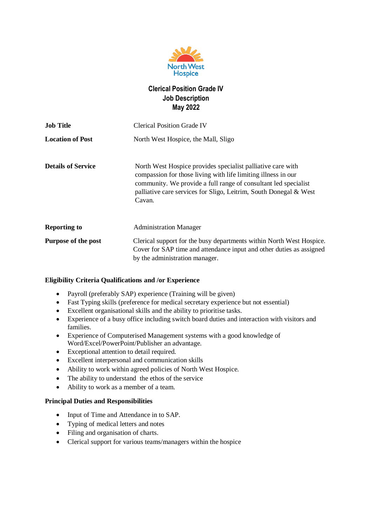

# **Clerical Position Grade IV Job Description May 2022**

| <b>Job Title</b>          | <b>Clerical Position Grade IV</b>                                                                                                                                                                                                                                              |
|---------------------------|--------------------------------------------------------------------------------------------------------------------------------------------------------------------------------------------------------------------------------------------------------------------------------|
| <b>Location of Post</b>   | North West Hospice, the Mall, Sligo                                                                                                                                                                                                                                            |
| <b>Details of Service</b> | North West Hospice provides specialist palliative care with<br>compassion for those living with life limiting illness in our<br>community. We provide a full range of consultant led specialist<br>palliative care services for Sligo, Leitrim, South Donegal & West<br>Cavan. |
| <b>Reporting to</b>       | <b>Administration Manager</b>                                                                                                                                                                                                                                                  |
| Purpose of the post       | Clerical support for the busy departments within North West Hospice.<br>Cover for SAP time and attendance input and other duties as assigned<br>by the administration manager.                                                                                                 |

## **Eligibility Criteria Qualifications and /or Experience**

- Payroll (preferably SAP) experience (Training will be given)
- Fast Typing skills (preference for medical secretary experience but not essential)
- Excellent organisational skills and the ability to prioritise tasks.
- Experience of a busy office including switch board duties and interaction with visitors and families.
- Experience of Computerised Management systems with a good knowledge of Word/Excel/PowerPoint/Publisher an advantage.
- Exceptional attention to detail required.
- Excellent interpersonal and communication skills
- Ability to work within agreed policies of North West Hospice.
- The ability to understand the ethos of the service
- Ability to work as a member of a team.

## **Principal Duties and Responsibilities**

- Input of Time and Attendance in to SAP.
- Typing of medical letters and notes
- Filing and organisation of charts.
- Clerical support for various teams/managers within the hospice